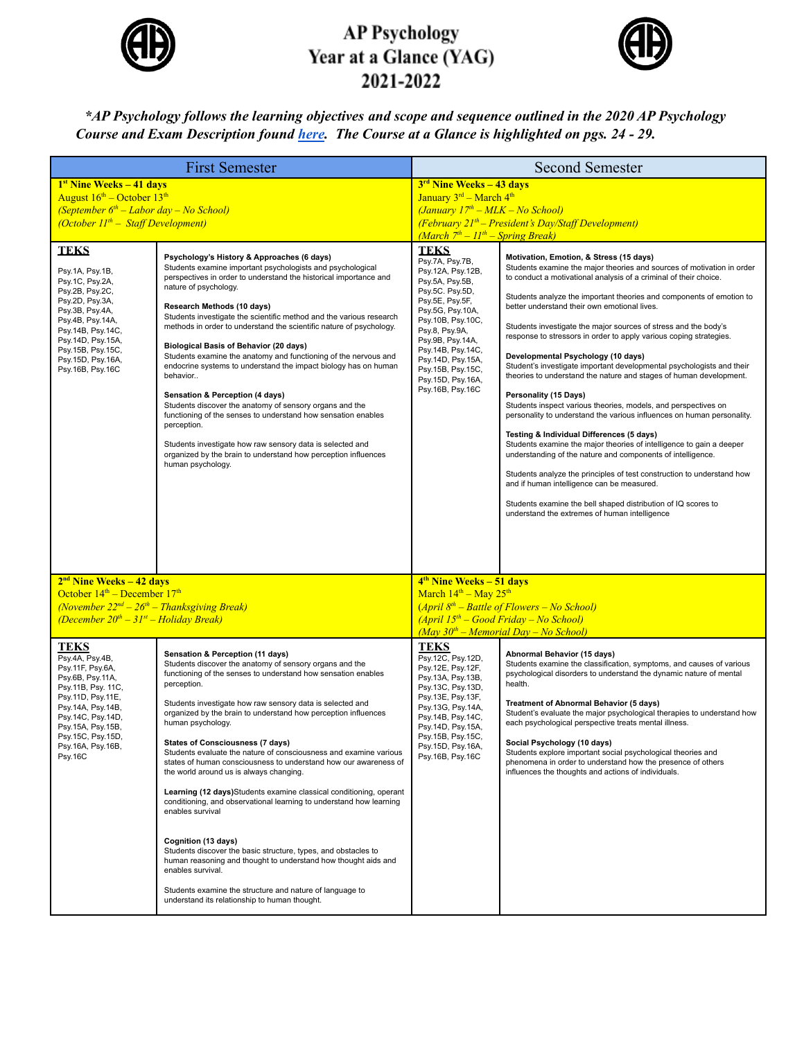

## **AP Psychology** Year at a Glance (YAG) 2021-2022



## *\*AP Psychology follows the learning objectives and scope and sequence outlined in the 2020 AP Psychology* Course and Exam Description found [here](https://apcentral.collegeboard.org/pdf/ap-psychology-course-and-exam-description.pdf). The Course at a Glance is highlighted on pgs. 24 - 29.

| <b>First Semester</b>                                                                                                                                                                                                                  |                                                                                                                                                                                                                                                                                                                                                                                                                                                                                                                                                                                                                                                                                                                                                                                                                                                                                                                                                                                                                               | <b>Second Semester</b>                                                                                                                                                                                                                                                                              |                                                                                                                                                                                                                                                                                                                                                                                                                                                                                                                                                                                                                                                                                                                                                                                                                                                                                                                                                                                                                                                                                                                                                                                                                                                 |
|----------------------------------------------------------------------------------------------------------------------------------------------------------------------------------------------------------------------------------------|-------------------------------------------------------------------------------------------------------------------------------------------------------------------------------------------------------------------------------------------------------------------------------------------------------------------------------------------------------------------------------------------------------------------------------------------------------------------------------------------------------------------------------------------------------------------------------------------------------------------------------------------------------------------------------------------------------------------------------------------------------------------------------------------------------------------------------------------------------------------------------------------------------------------------------------------------------------------------------------------------------------------------------|-----------------------------------------------------------------------------------------------------------------------------------------------------------------------------------------------------------------------------------------------------------------------------------------------------|-------------------------------------------------------------------------------------------------------------------------------------------------------------------------------------------------------------------------------------------------------------------------------------------------------------------------------------------------------------------------------------------------------------------------------------------------------------------------------------------------------------------------------------------------------------------------------------------------------------------------------------------------------------------------------------------------------------------------------------------------------------------------------------------------------------------------------------------------------------------------------------------------------------------------------------------------------------------------------------------------------------------------------------------------------------------------------------------------------------------------------------------------------------------------------------------------------------------------------------------------|
| $1st$ Nine Weeks $-41$ days<br>August $16^{th}$ – October $13^{th}$<br>(September $6^{th}$ – Labor day – No School)<br>(October $II^{th}$ – Staff Development)                                                                         |                                                                                                                                                                                                                                                                                                                                                                                                                                                                                                                                                                                                                                                                                                                                                                                                                                                                                                                                                                                                                               | $3rd$ Nine Weeks – 43 days<br>January 3rd - March 4th<br>$(January 17th - MLK - No School)$<br>$(Februar y 21th - President's Day/Staff Development)$<br>(March $7th - 11th -$ Spring Break)                                                                                                        |                                                                                                                                                                                                                                                                                                                                                                                                                                                                                                                                                                                                                                                                                                                                                                                                                                                                                                                                                                                                                                                                                                                                                                                                                                                 |
| <b>TEKS</b><br>Psy.1A, Psy.1B,<br>Psy.1C, Psy.2A,<br>Psy.2B, Psy.2C,<br>Psy.2D, Psy.3A,<br>Psy.3B, Psy.4A,<br>Psy.4B, Psy.14A,<br>Psy.14B, Psy.14C,<br>Psy.14D, Psy.15A,<br>Psy.15B, Psy.15C,<br>Psy.15D, Psy.16A,<br>Psy.16B, Psy.16C | Psychology's History & Approaches (6 days)<br>Students examine important psychologists and psychological<br>perspectives in order to understand the historical importance and<br>nature of psychology.<br>Research Methods (10 days)<br>Students investigate the scientific method and the various research<br>methods in order to understand the scientific nature of psychology.<br>Biological Basis of Behavior (20 days)<br>Students examine the anatomy and functioning of the nervous and<br>endocrine systems to understand the impact biology has on human<br>behavior<br>Sensation & Perception (4 days)<br>Students discover the anatomy of sensory organs and the<br>functioning of the senses to understand how sensation enables<br>perception.<br>Students investigate how raw sensory data is selected and<br>organized by the brain to understand how perception influences<br>human psychology.                                                                                                              | <b>TEKS</b><br>Psy.7A, Psy.7B,<br>Psy.12A, Psy.12B,<br>Psy.5A, Psy.5B,<br>Psy.5C. Psy.5D,<br>Psy.5E, Psy.5F,<br>Psy.5G, Psy.10A,<br>Psy.10B, Psy.10C,<br>Psy.8, Psy.9A,<br>Psy.9B, Psy.14A,<br>Psy.14B, Psy.14C,<br>Psy.14D, Psy.15A,<br>Psy.15B, Psy.15C,<br>Psy.15D, Psy.16A,<br>Psy.16B, Psy.16C | Motivation, Emotion, & Stress (15 days)<br>Students examine the major theories and sources of motivation in order<br>to conduct a motivational analysis of a criminal of their choice.<br>Students analyze the important theories and components of emotion to<br>better understand their own emotional lives.<br>Students investigate the major sources of stress and the body's<br>response to stressors in order to apply various coping strategies.<br>Developmental Psychology (10 days)<br>Student's investigate important developmental psychologists and their<br>theories to understand the nature and stages of human development.<br>Personality (15 Days)<br>Students inspect various theories, models, and perspectives on<br>personality to understand the various influences on human personality.<br>Testing & Individual Differences (5 days)<br>Students examine the major theories of intelligence to gain a deeper<br>understanding of the nature and components of intelligence.<br>Students analyze the principles of test construction to understand how<br>and if human intelligence can be measured.<br>Students examine the bell shaped distribution of IQ scores to<br>understand the extremes of human intelligence |
| $2nd$ Nine Weeks – 42 days<br>October $14th$ – December $17th$<br>(November $22^{nd} - 26^{th} - Thanksgiving$ Break)<br>(December $20^{th} - 31^{st} -$ Holiday Break)                                                                |                                                                                                                                                                                                                                                                                                                                                                                                                                                                                                                                                                                                                                                                                                                                                                                                                                                                                                                                                                                                                               | 4 <sup>th</sup> Nine Weeks – 51 days<br>March 14 <sup>th</sup> - May 25 <sup>th</sup><br>$(April 8th - Battle of Flowers - No School)$<br>$(April 15th - Good Friday - No School)$<br>$(May 30th - Memorial Day - No School)$                                                                       |                                                                                                                                                                                                                                                                                                                                                                                                                                                                                                                                                                                                                                                                                                                                                                                                                                                                                                                                                                                                                                                                                                                                                                                                                                                 |
| TEKS<br>Psy.4A, Psy.4B,<br>Psy.11F, Psy.6A,<br>Psy.6B, Psy.11A,<br>Psy.11B, Psy. 11C,<br>Psy.11D, Psy.11E,<br>Psy.14A, Psy.14B,<br>Psy.14C, Psy.14D,<br>Psy.15A, Psy.15B,<br>Psy.15C, Psy.15D,<br>Psy.16A, Psy.16B,<br><b>Psy.16C</b>  | Sensation & Perception (11 days)<br>Students discover the anatomy of sensory organs and the<br>functioning of the senses to understand how sensation enables<br>perception.<br>Students investigate how raw sensory data is selected and<br>organized by the brain to understand how perception influences<br>human psychology.<br><b>States of Consciousness (7 days)</b><br>Students evaluate the nature of consciousness and examine various<br>states of human consciousness to understand how our awareness of<br>the world around us is always changing.<br>Learning (12 days) Students examine classical conditioning, operant<br>conditioning, and observational learning to understand how learning<br>enables survival<br>Cognition (13 days)<br>Students discover the basic structure, types, and obstacles to<br>human reasoning and thought to understand how thought aids and<br>enables survival.<br>Students examine the structure and nature of language to<br>understand its relationship to human thought. | <b>TEKS</b><br>Psy.12C, Psy.12D,<br>Psy.12E, Psy.12F,<br>Psy.13A, Psy.13B,<br>Psy.13C, Psy.13D,<br>Psy.13E, Psy.13F,<br>Psy.13G, Psy.14A,<br>Psy.14B, Psy.14C,<br>Psy.14D, Psy.15A,<br>Psy.15B, Psy.15C,<br>Psy.15D, Psy.16A,<br>Psy.16B, Psy.16C                                                   | Abnormal Behavior (15 days)<br>Students examine the classification, symptoms, and causes of various<br>psychological disorders to understand the dynamic nature of mental<br>health.<br>Treatment of Abnormal Behavior (5 days)<br>Student's evaluate the major psychological therapies to understand how<br>each psychological perspective treats mental illness.<br>Social Psychology (10 days)<br>Students explore important social psychological theories and<br>phenomena in order to understand how the presence of others<br>influences the thoughts and actions of individuals.                                                                                                                                                                                                                                                                                                                                                                                                                                                                                                                                                                                                                                                         |